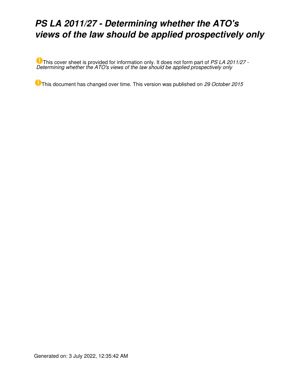# *PS LA 2011/27 - Determining whether the ATO's views of the law should be applied prospectively only*

This cover sheet is provided for information only. It does not form part of *PS LA 2011/27 - Determining whether the ATO's views of the law should be applied prospectively only*

This document has changed over time. This version was published on *29 October 2015*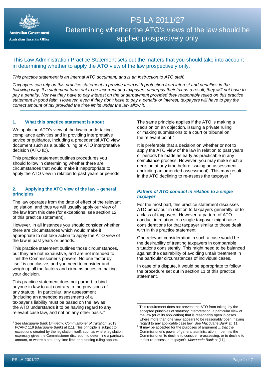

## PS LA 2011/27 Determining whether the ATO's views of the law should be applied prospectively only

## This Law Administration Practice Statement sets out the matters that you should take into account in determining whether to apply the ATO view of the law prospectively only.

## *This practice statement is an internal ATO document, and is an instruction to ATO staff.*

*Taxpayers can rely on this practice statement to provide them with protection from interest and penalties in the following way. If a statement turns out to be incorrect and taxpayers underpay their tax as a result, they will not have to pay a penalty. Nor will they have to pay interest on the underpayment provided they reasonably relied on this practice statement in good faith. However, even if they don't have to pay a penalty or interest, taxpayers will have to pay the correct amount of tax provided the time limits under the law allow it.*

## **1. What this practice statement is about**

We apply the ATO's view of the law in undertaking compliance activities and in providing interpretative advice or guidance, including a precedential ATO view document such as a public ruling or ATO interpretative decision (ATO ID).

This practice statement outlines procedures you should follow in determining whether there are circumstances that would make it inappropriate to apply the ATO view in relation to past years or periods.

#### **2. Applying the ATO view of the law – general principles**

The law operates from the date of effect of the relevant legislation, and thus we will usually apply our view of the law from this date (for exceptions, see section 12 of this practice statement).

However, in all instances you should consider whether there are circumstances which would make it appropriate to not take action to apply the ATO view of the law in past years or periods.

This practice statement outlines those circumstances, but they are not exhaustive, and are not intended to limit the Commissioner's powers. No one factor by itself is conclusive, and you need to consider and weigh up all the factors and circumstances in making your decision.

This practice statement does not purport to bind anyone in law to act contrary to the provisions of any statute. In particular, any assessment (including an amended assessment) of a taxpayer's liability must be based on the law as the ATO understands it to be having regard to any relevant case law, and not on any other basis.<sup>[1](#page-1-0)</sup>

The same principle applies if the ATO is making a decision on an objection, issuing a private ruling or making submissions to a court or tribunal on the relevant point.<sup>[2](#page-1-1)</sup>

It is preferable that a decision on whether or not to apply the ATO view of the law in relation to past years or periods be made as early as practicable in any compliance process. However, you may make such a decision at any time before issuing an assessment (including an amended assessment). This may result in the ATO declining to re-assess the taxpayer.<sup>[3](#page-1-2)</sup>

## *Pattern of ATO conduct in relation to a single taxpayer*

For the most part, this practice statement discusses ATO behaviour in relation to taxpayers generally, or to a class of taxpayers. However, a pattern of ATO conduct in relation to a single taxpayer might raise considerations for that taxpayer similar to those dealt with in this practice statement.

One relevant consideration in such a case would be the desirability of treating taxpayers in comparable situations consistently. This might need to be balanced against the desirability of avoiding unfair treatment in the particular circumstances of individual cases.

In case of a dispute, it would be appropriate to follow the procedure set out in section 11 of this practice statement.

<span id="page-1-2"></span><span id="page-1-1"></span><span id="page-1-0"></span><sup>1</sup> See *Macquarie Bank Limited v. Commissioner of Taxation* [2013] FCAFC 119 (*Macquarie Bank*) at [11]. This principle is subject to exceptions created by the legislation itself, such as where legislation expressly gives the Commissioner discretion to determine a particular amount, or where a statutory time limit or a binding ruling applies.

 $\overline{\phantom{a}^2$  This requirement does not prevent the ATO from taking, by the accepted principles of statutory interpretation, a particular view of the law (or of its application) that is reasonably open in cases where more than one view appears to be reasonably open, having regard to any applicable case law. See Macquarie Bank at [11].

regard to any applicable case law. See *Macquarie Bank* at [11]. 3 'It may be accepted for the purposes of argument ... that the Commissioner's power of general administration ... permits the Commissioner 'to decline to consider re-assessing, or to decline to in fact re-assess, a taxpayer': *Macquarie Bank* at [11].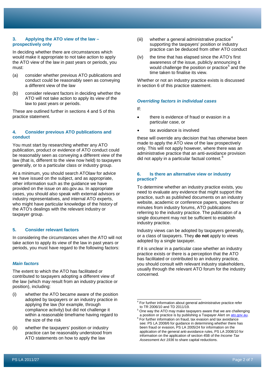#### **3. Applying the ATO view of the law – prospectively only**

In deciding whether there are circumstances which would make it appropriate to not take action to apply the ATO view of the law in past years or periods, you must:

- (a) consider whether previous ATO publications and conduct could be reasonably seen as conveying a different view of the law
- (b) consider relevant factors in deciding whether the ATO will not take action to apply its view of the law to past years or periods.

These are outlined further in sections 4 and 5 of this practice statement.

## **4. Consider previous ATO publications and conduct**

You must start by researching whether any ATO publication, product or evidence of ATO conduct could be reasonably seen as conveying a different view of the law (that is, different to the view now held) to taxpayers generally, or to a particular class or industry group.

At a minimum, you should search ATOlaw for advice we have issued on the subject, and as appropriate, other information such as the guidance we have provided on the issue on ato.gov.au. In appropriate cases, you should also speak with external advisors or industry representatives, and internal ATO experts, who might have particular knowledge of the history of the ATO's dealings with the relevant industry or taxpayer group.

## **5. Consider relevant factors**

In considering the circumstances when the ATO will not take action to apply its view of the law in past years or periods, you must have regard to the following factors:

#### *Main factors*

The extent to which the ATO has facilitated or contributed to taxpayers adopting a different view of the law (which may result from an industry practice or position), including:

- <span id="page-2-0"></span>(i) whether the ATO became aware of the position adopted by taxpayers or an industry practice in applying the law (for example, through compliance activity) but did not challenge it within a reasonable timeframe having regard to the size of the risk
- <span id="page-2-2"></span><span id="page-2-1"></span>(ii) whether the taxpayers' position or industry practice can be reasonably understood from ATO statements on how to apply the law
- (iii) whether a general administrative practice<sup>[4](#page-2-0)</sup> supporting the taxpayers' position or industry practice can be deduced from other ATO conduct
- (iv) the time that has elapsed since the ATO's first awareness of the issue, publicly announcing it would challenge the position or practice<sup>[5](#page-2-1)</sup> and the time taken to finalise its view.

Whether or not an industry practice exists is discussed in section 6 of this practice statement.

#### *Overriding factors in individual cases*

If:

- there is evidence of fraud or evasion in a particular case, or
- tax avoidance is involved

these will override any decision that has otherwise been made to apply the ATO view of the law prospectively only. This will not apply however, where there was an administrative practice that an anti-avoidance provision did not apply in a particular factual context.<sup>[6](#page-2-2)</sup>

## **6. Is there an alternative view or industry practice?**

To determine whether an industry practice exists, you need to evaluate any evidence that might support the practice, such as published documents on an industry website, academic or conference papers, speeches or minutes from industry forums, ATO publications referring to the industry practice. The publication of a single document may not be sufficient to establish industry practice.

Industry views can be adopted by taxpayers generally, or a class of taxpayers. They **do not** apply to views adopted by a single taxpayer.

If it is unclear in a particular case whether an industry practice exists or there is a perception that the ATO has facilitated or contributed to an industry practice, you should consult with relevant industry stakeholders, usually through the relevant ATO forum for the industry concerned.

For further information about general administrative practice refer to TR 2006/10 and TD 2011/19.  $\overline{a}$ 

<sup>&</sup>lt;sup>5</sup> One way the ATO may make taxpayers aware that we are challenging<br>a position or practice is by publishing a Taxpayer Alert on ato.gov.au.

 $6$  For further information on fraud, tax evasion and tax avoidance see: PS LA 2008/6 for guidance in determining whether there has been fraud or evasion, PS LA 2005/24 for information on the application of the general anti-avoidance rules, PS LA 2008/10 for information on the application of section 45B of the *Income Tax Assessment Act 1936* to share capital reductions.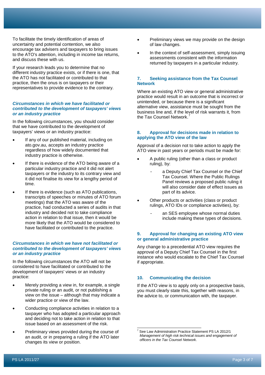To facilitate the timely identification of areas of uncertainty and potential contention, we also encourage tax advisers and taxpayers to bring issues to the ATO's attention, including in income tax returns, and discuss these with us.

If your research leads you to determine that no different industry practice exists, or if there is one, that the ATO has not facilitated or contributed to that practice, then the onus is on taxpayers or their representatives to provide evidence to the contrary.

## *Circumstances in which we have facilitated or contributed to the development of taxpayers' views or an industry practice*

In the following circumstances, you should consider that we have contributed to the development of taxpayers' views or an industry practice:

- If any of our published material, including on ato.gov.au, accepts an industry practice regardless of how widely documented that industry practice is otherwise.
- If there is evidence of the ATO being aware of a particular industry practice and it did not alert taxpayers or the industry to its contrary view and it did not finalise its view for a lengthy period of time.
- If there is evidence (such as ATO publications, transcripts of speeches or minutes of ATO forum meetings) that the ATO was aware of the practice, had conducted a series of audits in that industry and decided not to take compliance action in relation to that issue, then it would be more likely that the ATO would be considered to have facilitated or contributed to the practice.

## *Circumstances in which we have not facilitated or contributed to the development of taxpayers' views or an industry practice*

In the following circumstances the ATO will not be considered to have facilitated or contributed to the development of taxpayers' views or an industry practice:

- Merely providing a view in, for example, a single private ruling or an audit, or not publishing a view on the issue – although that may indicate a wider practice or view of the law.
- Conducting compliance activities in relation to a taxpayer who has adopted a particular approach and deciding not to take action in relation to that issue based on an assessment of the risk.
- <span id="page-3-0"></span>Preliminary views provided during the course of an audit, or in preparing a ruling if the ATO later changes its view or position.
- Preliminary views we may provide on the design of law changes.
- In the context of self-assessment, simply issuing assessments consistent with the information returned by taxpayers in a particular industry.

## **7. Seeking assistance from the Tax Counsel Network**

Where an existing ATO view or general administrative practice would result in an outcome that is incorrect or unintended, or because there is a significant alternative view, assistance must be sought from the business line and, if the level of risk warrants it, from the Tax Counsel Network.

## **8. Approval for decisions made in relation to applying the ATO view of the law**

Approval of a decision not to take action to apply the ATO view in past years or periods must be made for:

- A public ruling (other than a class or product ruling), by:
	- a Deputy Chief Tax Counsel or the Chief Tax Counsel. Where the Public Rulings Panel reviews a proposed public ruling it will also consider date of effect issues as part of its advice.
- Other products or activities (class or product rulings, ATO IDs or compliance activities), by:
	- an SES employee whose normal duties include making these types of decisions.

## **9. Approval for changing an existing ATO view or general administrative practice**

Any change to a precedential ATO view requires the approval of a Deputy Chief Tax Counsel in the first instance who would escalate to the Chief Tax Counsel if appropriate.

## **10. Communicating the decision**

If the ATO view is to apply only on a prospective basis, you must clearly state this, together with reasons, in the advice to, or communication with, the taxpayer.

<sup>7</sup> See Law Administration Practice Statement PS LA 2012/1 *Management of high risk technical issues and engagement of officers in the Tax Counsel Network*.  $\overline{a}$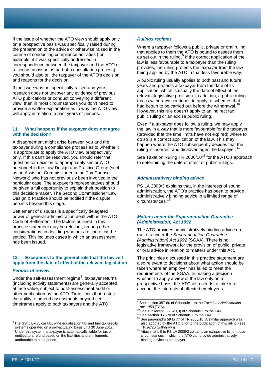If the issue of whether the ATO view should apply only on a prospective basis was specifically raised during the preparation of the advice or otherwise raised in the course of conducting compliance activities (for example, if it was specifically addressed in correspondence between the taxpayer and the ATO or raised as an issue as part of a consultation process), you should also tell the taxpayer of the ATO's decision and reasons for the decision.

If the issue was not specifically raised and your research does not uncover any evidence of previous ATO publications or conduct conveying a different view, then in most circumstances you don't need to provide a written explanation as to why the ATO view will apply in relation to past years or periods.

## **11. What happens if the taxpayer does not agree with the decision?**

A disagreement might arise between you and the taxpayer during a compliance process as to whether it is appropriate to apply the ATO view prospectively only. If this can't be resolved, you should refer the question for decision to appropriately senior ATO personnel in the Law Design and Practice Group (such as an Assistant Commissioner in the Tax Counsel Network) who has not previously been involved in the particular case. The taxpayer's representatives should be given a full opportunity to explain their position to this decision-maker. The Second Commissioner Law Design & Practice should be notified if the dispute persists beyond this stage.

Settlement of disputes is a specifically delegated power of general administration dealt with in the ATO Code of Settlement. The factors outlined in this practice statement may be relevant, among other considerations, in deciding whether a dispute can be settled. This includes cases in which an assessment has been issued.

## **12. Exceptions to the general rule that the law will apply from the date of effect of the relevant legislation**

#### *Periods of review*

Under the self-assessment regime<sup>[8](#page-4-0)</sup>, taxpayer returns (including activity statements) are generally accepted at face value, subject to post-assessment audit or other verification by the ATO. Time limits that restrict the ability to amend assessments beyond set timeframes apply to both taxpayers and the ATO.

#### *Rulings regimes*

Where a taxpayer follows a public, private or oral ruling that applies to them the ATO is bound to assess them as set out in the ruling.<sup>[9](#page-4-1)</sup> If the correct application of the law is less favourable to a taxpayer than the ruling provides, the ruling protects the taxpayer from the law being applied by the ATO in that less favourable way.

A public ruling usually applies to both past and future years and protects a taxpayer from the date of its application, which is usually the date of effect of the relevant legislative provision. In addition, a public ruling that is withdrawn continues to apply to schemes that had begun to be carried out before the withdrawal.<sup>1</sup> However, this rule doesn't apply to an indirect tax public ruling or an excise public ruling.

Even if a taxpayer does follow a ruling, we may apply the law in a way that is more favourable for the taxpayer (provided that the time limits have not expired) where to do so is a correct application of the law. This may happen where the ATO subsequently decides that the ruling is incorrect and disadvantages the taxpayer.<sup>1</sup>

See Taxation Ruling TR 2006/10 $12$  for the ATO's approach to determining the date of effect of public rulings.

## *Administratively binding advice*

PS LA 2008/3 explains that, in the interests of sound administration, the ATO's practice has been to provide administratively binding advice in a limited range of circumstances.<sup>[13](#page-4-5)</sup>

## *Matters under the Superannuation Guarantee (Administration) Act 1992*

The ATO provides administratively binding advice on matters under the *Superannuation Guarantee (Administration) Act 1992* (SGAA). There is no legislative framework for the provision of public, private or oral advice in relation to matters under this Act.

The principles discussed in this practice statement are also relevant to decisions about what action should be taken where an employer has failed to meet the requirements of the SGAA. In making a decision whether to apply a view of the law only on a prospective basis, the ATO also needs to take into account the interests of affected employees.

<span id="page-4-5"></span><span id="page-4-4"></span><span id="page-4-3"></span><span id="page-4-2"></span><span id="page-4-1"></span><span id="page-4-0"></span> $\overline{\phantom{a}^8}$ The GST, luxury car tax, wine equalisation tax and fuel tax credits systems operated on a self-actuating basis until 30 June 2012. Under this system, a taxpayer is automatically liable for tax or entitled to a refund based on the liabilities and entitlements attributable to a tax period.

<sup>9</sup> See section 357-60 of Schedule 1 to the *Taxation Administration* 

Act 1953 (TAA).<br><sup>10</sup> See subsection 358-20(3) of Schedule 1 to the TAA.<br><sup>11</sup> See section 357-70 of Schedule 1 to the TAA.<br><sup>12</sup> See paragraphs 59 to 77 of TR 2006/10. A similar approach was also adopted by the ATO prior to the publication of this ruling - see<br>TR 92/20 (withdrawn).

<sup>&</sup>lt;sup>13</sup> Attachment B to PS LA 2008/3 contains an exhaustive list of those circumstances in which the ATO can provide administratively binding advice to a taxpayer.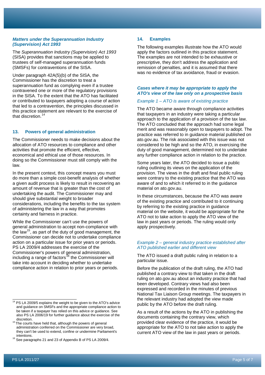#### *Matters under the Superannuation Industry (Supervision) Act 1993*

The *Superannuation Industry (Supervision) Act 1993* (SISA) provides that sanctions may be applied to trustees of self-managed superannuation funds (SMSFs) for contraventions of the SISA.

Under paragraph 42A(5)(b) of the SISA, the Commissioner has the discretion to treat a superannuation fund as complying even if a trustee contravened one or more of the regulatory provisions in the SISA. To the extent that the ATO has facilitated or contributed to taxpayers adopting a course of action that led to a contravention, the principles discussed in this practice statement are relevant to the exercise of that discretion.<sup>[14](#page-5-0)</sup>

## **13. Powers of general administration**

The Commissioner needs to make decisions about the allocation of ATO resources to compliance and other activities that promote the efficient, effective, economical and ethical use of those resources. In doing so the Commissioner must still comply with the law.

In the present context, this concept means you must do more than a simple cost-benefit analysis of whether a given audit process is likely to result in recovering an amount of revenue that is greater than the cost of undertaking the audit. The Commissioner may and should give substantial weight to broader considerations, including the benefits to the tax system of administering the law in a way that promotes certainty and fairness in practice.

While the Commissioner can't use the powers of general administration to accept non-compliance with the law<sup>15</sup>, as part of the duty of good management, the Commissioner can decide not to undertake compliance action on a particular issue for prior years or periods. PS LA 2009/4 addresses the exercise of the Commissioner's powers of general administration, including a range of factors<sup>[16](#page-5-2)</sup> the Commissioner will take into account in deciding whether to undertake compliance action in relation to prior years or periods.

<span id="page-5-2"></span>intentions.<br><sup>16</sup> See paragraphs 21 and 23 of Appendix B of PS LA 2009/4.

## **14. Examples**

The following examples illustrate how the ATO would apply the factors outlined in this practice statement. The examples are not intended to be exhaustive or prescriptive, they don't address the application and remission of penalties, and it is assumed that there was no evidence of tax avoidance, fraud or evasion.

#### *Cases where it may be appropriate to apply the ATO's view of the law only on a prospective basis*

#### *Example 1 – ATO is aware of existing practice*

The ATO became aware through compliance activities that taxpayers in an industry were taking a particular approach to the application of a provision of the tax law. The ATO concluded that the approach had some legal merit and was reasonably open to taxpayers to adopt. The practice was referred to in guidance material published on ato.gov.au. The risk associated with this issue was not considered to be high and so the ATO, in exercising the duty of good management, determined not to undertake any further compliance action in relation to the practice.

Some years later, the ATO decided to issue a public ruling outlining its views on the application of the provision. The views in the draft and final public ruling were contrary to the existing practice that the ATO was aware of and to which it referred to in the guidance material on ato.gov.au.

In these circumstances, because the ATO was aware of the existing practice and contributed to it continuing by referring to the existing practice in guidance material on the website, it would be appropriate for the ATO not to take action to apply the ATO view of the law in past years or periods. The ruling would only apply prospectively.

#### *Example 2 – general industry practice established after ATO published earlier and different view*

The ATO issued a draft public ruling in relation to a particular issue.

Before the publication of the draft ruling, the ATO had published a contrary view to that taken in the draft ruling on ato.gov.au about an industry practice that had been developed. Contrary views had also been expressed and recorded in the minutes of previous National Tax Liaison Group meetings. The taxpayers in the relevant industry had adopted the view made public by the ATO before the draft ruling.

As a result of the actions by the ATO in publishing the documents containing the contrary view, which provided clear evidence of the practice, it would be appropriate for the ATO to not take action to apply the current ATO view of the law in past years or periods.

<span id="page-5-0"></span> $14$  PS LA 2009/5 explains the weight to be given to the ATO's advice and guidance on SMSFs and the appropriate compliance action to be taken if a taxpayer has relied on this advice or guidance. See also PS LA 2006/19 for further guidance about the exercise of the

<span id="page-5-1"></span>discretion. <sup>15</sup> The courts have held that, although the powers of general administration conferred on the Commissioner are very broad, they can't be used to extend, confine or undermine Parliament's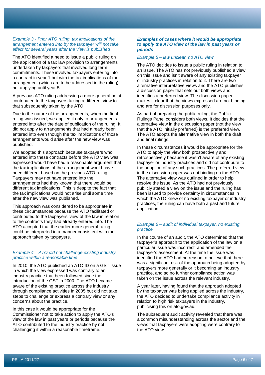#### *Example 3 - Prior ATO ruling, tax implications of the arrangement entered into by the taxpayer will not take effect for several years after the view is published*

The ATO identified a need to issue a public ruling on the application of a tax law provision to arrangements undertaken by taxpayers that involved long term commitments. These involved taxpayers entering into a contract in year 1 but with the tax implications of the arrangement (which are to be addressed in the ruling), not applying until year 5.

A previous ATO ruling addressing a more general point contributed to the taxpayers taking a different view to that subsequently taken by the ATO.

Due to the nature of the arrangements, when the final ruling was issued, we applied it only to arrangements entered into after the date of publication of the ruling. It did not apply to arrangements that had already been entered into even though the tax implications of those arrangements would arise after the new view was published.

We adopted this approach because taxpayers who entered into these contracts before the ATO view was expressed would have had a reasonable argument that the tax implications of the arrangement would have been different based on the previous ATO ruling. Taxpayers may not have entered into the arrangements had they known that there would be different tax implications. This is despite the fact that the tax implications would not arise until some time after the new view was published.

This approach was considered to be appropriate in these circumstances because the ATO facilitated or contributed to the taxpayers' view of the law in relation to the contracts they had already entered into. The ATO accepted that the earlier more general ruling could be interpreted in a manner consistent with the approach taken by taxpayers.

## *Example 4 – ATO did not challenge existing industry practice within a reasonable time*

In 2010, the ATO published an ATO ID on a GST issue in which the view expressed was contrary to an industry practice that been followed since the introduction of the GST in 2000. The ATO became aware of the existing practice across the industry through compliance activities in 2005 but did not take steps to challenge or express a contrary view or any concerns about the practice.

In this case it would be appropriate for the Commissioner not to take action to apply the ATO's view of the law in past years or periods because the ATO contributed to the industry practice by not challenging it within a reasonable timeframe.

#### *Examples of cases where it would be appropriate to apply the ATO view of the law in past years or periods*

#### *Example 5 – law unclear, no ATO view*

The ATO decides to issue a public ruling in relation to an issue. The ATO has not previously published a view on this issue and isn't aware of any existing taxpayer or industry practices in relation to it. There are two alternative interpretative views and the ATO publishes a discussion paper that sets out both views and identifies a preferred view. The discussion paper makes it clear that the views expressed are not binding and are for discussion purposes only.

As part of preparing the public ruling, the Public Rulings Panel considers both views. It decides that the alternative view in the discussion paper (not the view that the ATO initially preferred) is the preferred view. The ATO adopts the alternative view in both the draft and final rulings.

In these circumstances it would be appropriate for the ATO to apply the view both prospectively and retrospectively because it wasn't aware of any existing taxpayer or industry practices and did not contribute to the adoption of any such practices. The preferred view in the discussion paper was not binding on the ATO. The alternative view was outlined in order to help resolve the issue. As the ATO had not previously publicly stated a view on the issue and the ruling has been issued to provide certainty in circumstances in which the ATO knew of no existing taxpayer or industry practices, the ruling can have both a past and future application.

## *Example 6 – audit of individual taxpayer, no existing practice*

In the course of an audit, the ATO determined that the taxpayer's approach to the application of the law on a particular issue was incorrect, and amended the taxpayer's assessment. At the time the issue was identified the ATO had no reason to believe that there was a significant risk of the approach being adopted by taxpayers more generally or it becoming an industry practice, and so no further compliance action was taken on the issue across the relevant industry.

A year later, having found that the approach adopted by the taxpayer was being applied across the industry, the ATO decided to undertake compliance activity in relation to high risk taxpayers in the industry, publicising this on ato.gov.au.

The subsequent audit activity revealed that there was a common misunderstanding across the sector and the views that taxpayers were adopting were contrary to the ATO view.